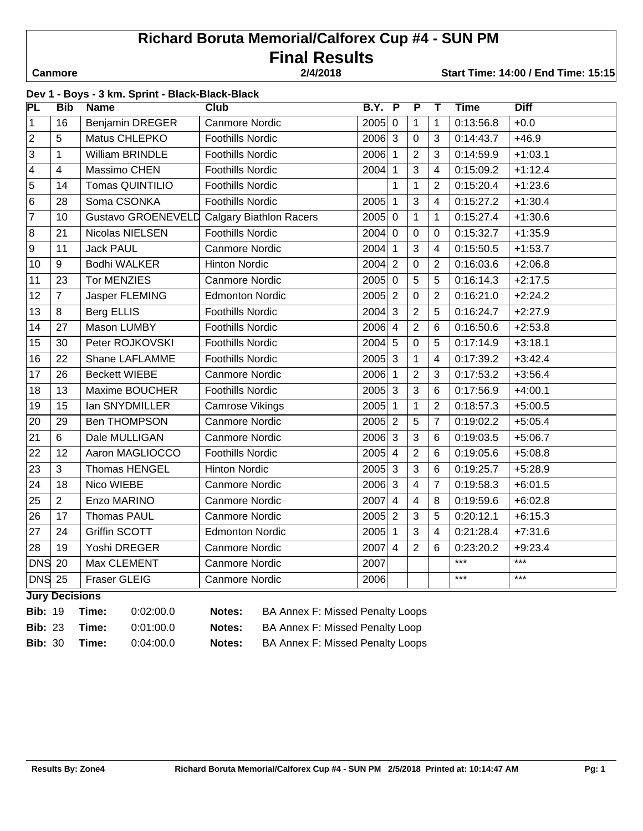# **Richard Boruta Memorial/Calforex Cup #4 - SUN PM Final Results**

 **Canmore 2/4/2018 Start Time: 14:00 / End Time: 15:15**

| 2/4/2018 |  |  |
|----------|--|--|
|          |  |  |

|                   | Dev 1 - Boys - 3 km. Sprint - Black-Black-Black |                           |                                |                     |                         |                         |                |             |             |
|-------------------|-------------------------------------------------|---------------------------|--------------------------------|---------------------|-------------------------|-------------------------|----------------|-------------|-------------|
| PL                | <b>Bib</b>                                      | <b>Name</b>               | $C$ <sub>lub</sub>             | <b>B.Y.</b>         | $\overline{\mathsf{P}}$ | $\overline{\mathsf{P}}$ | т              | <b>Time</b> | <b>Diff</b> |
| $\overline{1}$    | 16                                              | <b>Benjamin DREGER</b>    | <b>Canmore Nordic</b>          | $2005$ 0            |                         | 1                       | 1              | 0:13:56.8   | $+0.0$      |
| $\sqrt{2}$        | 5                                               | Matus CHLEPKO             | <b>Foothills Nordic</b>        | 2006 3              |                         | 0                       | 3              | 0:14:43.7   | $+46.9$     |
| $\overline{3}$    | $\mathbf{1}$                                    | William BRINDLE           | <b>Foothills Nordic</b>        | 2006 1              |                         | $\overline{2}$          | 3              | 0:14:59.9   | $+1:03.1$   |
| $\vert$ 4         | $\overline{4}$                                  | Massimo CHEN              | <b>Foothills Nordic</b>        | 2004 1              |                         | 3                       | $\overline{4}$ | 0:15:09.2   | $+1:12.4$   |
| 5                 | 14                                              | Tomas QUINTILIO           | <b>Foothills Nordic</b>        |                     | $\mathbf 1$             | $\mathbf{1}$            | $\overline{2}$ | 0:15:20.4   | $+1:23.6$   |
| $\overline{6}$    | 28                                              | Soma CSONKA               | <b>Foothills Nordic</b>        | 2005 1              |                         | 3                       | $\overline{4}$ | 0:15:27.2   | $+1:30.4$   |
| $\overline{7}$    | 10                                              | <b>Gustavo GROENEVELD</b> | <b>Calgary Biathlon Racers</b> | $2005$ 0            |                         | $\mathbf{1}$            | $\mathbf{1}$   | 0:15:27.4   | $+1:30.6$   |
| $\overline{8}$    | 21                                              | Nicolas NIELSEN           | <b>Foothills Nordic</b>        | $2004$ 0            |                         | 0                       | $\mathbf 0$    | 0:15:32.7   | $+1:35.9$   |
| 9                 | 11                                              | <b>Jack PAUL</b>          | <b>Canmore Nordic</b>          | 2004 1              |                         | 3                       | $\overline{4}$ | 0:15:50.5   | $+1:53.7$   |
| 10                | $\boldsymbol{9}$                                | <b>Bodhi WALKER</b>       | <b>Hinton Nordic</b>           | 2004 2              |                         | 0                       | $\overline{2}$ | 0:16:03.6   | $+2:06.8$   |
| 11                | 23                                              | <b>Tor MENZIES</b>        | <b>Canmore Nordic</b>          | $2005$ 0            |                         | 5                       | 5              | 0:16:14.3   | $+2:17.5$   |
| 12                | $\overline{7}$                                  | Jasper FLEMING            | <b>Edmonton Nordic</b>         | $2005$ 2            |                         | 0                       | $\overline{2}$ | 0:16:21.0   | $+2:24.2$   |
| 13                | 8                                               | Berg ELLIS                | <b>Foothills Nordic</b>        | $2004 \overline{3}$ |                         | $\overline{2}$          | 5              | 0:16:24.7   | $+2:27.9$   |
| 14                | 27                                              | Mason LUMBY               | <b>Foothills Nordic</b>        | 2006 4              |                         | $\overline{2}$          | 6              | 0:16:50.6   | $+2:53.8$   |
| 15                | 30                                              | Peter ROJKOVSKI           | <b>Foothills Nordic</b>        | 2004 5              |                         | $\overline{0}$          | 5              | 0:17:14.9   | $+3:18.1$   |
| 16                | 22                                              | Shane LAFLAMME            | <b>Foothills Nordic</b>        | 2005 3              |                         | $\mathbf{1}$            | $\overline{4}$ | 0:17:39.2   | $+3:42.4$   |
| 17                | 26                                              | <b>Beckett WIEBE</b>      | <b>Canmore Nordic</b>          | 2006 1              |                         | $\overline{2}$          | 3              | 0:17:53.2   | $+3:56.4$   |
| 18                | 13                                              | Maxime BOUCHER            | <b>Foothills Nordic</b>        | $2005$ 3            |                         | 3                       | $6\phantom{1}$ | 0:17:56.9   | $+4:00.1$   |
| 19                | 15                                              | Ian SNYDMILLER            | <b>Camrose Vikings</b>         | $2005$ 1            |                         | $\mathbf{1}$            | $\overline{2}$ | 0:18:57.3   | $+5:00.5$   |
| 20                | 29                                              | <b>Ben THOMPSON</b>       | <b>Canmore Nordic</b>          | $2005$ 2            |                         | 5                       | $\overline{7}$ | 0:19:02.2   | $+5:05.4$   |
| $\overline{21}$   | $6\,$                                           | Dale MULLIGAN             | <b>Canmore Nordic</b>          | 2006 3              |                         | 3                       | $\,6\,$        | 0:19:03.5   | $+5:06.7$   |
| $\overline{22}$   | 12                                              | Aaron MAGLIOCCO           | <b>Foothills Nordic</b>        | $2005$ 4            |                         | $\overline{2}$          | $6\phantom{1}$ | 0:19:05.6   | $+5:08.8$   |
| $\overline{23}$   | 3                                               | Thomas HENGEL             | <b>Hinton Nordic</b>           | $2005$ 3            |                         | 3                       | 6              | 0:19:25.7   | $+5:28.9$   |
| 24                | 18                                              | Nico WIEBE                | <b>Canmore Nordic</b>          | 2006 3              |                         | 4                       | $\overline{7}$ | 0:19:58.3   | $+6:01.5$   |
| 25                | $\overline{2}$                                  | Enzo MARINO               | <b>Canmore Nordic</b>          | $2007$ 4            |                         | $\overline{\mathbf{4}}$ | 8              | 0:19:59.6   | $+6:02.8$   |
| 26                | 17                                              | Thomas PAUL               | <b>Canmore Nordic</b>          | 2005 2              |                         | 3                       | 5              | 0:20:12.1   | $+6:15.3$   |
| 27                | 24                                              | <b>Griffin SCOTT</b>      | <b>Edmonton Nordic</b>         | 2005 1              |                         | 3                       | $\overline{4}$ | 0:21:28.4   | $+7:31.6$   |
| 28                | 19                                              | Yoshi DREGER              | <b>Canmore Nordic</b>          | 2007 4              |                         | $\overline{2}$          | $6\phantom{1}$ | 0:23:20.2   | $+9:23.4$   |
| <b>DNS</b>        | 20                                              | Max CLEMENT               | <b>Canmore Nordic</b>          | 2007                |                         |                         |                | $***$       | $***$       |
| DNS <sub>25</sub> |                                                 | <b>Fraser GLEIG</b>       | <b>Canmore Nordic</b>          | 2006                |                         |                         |                | $***$       | $***$       |

**Jury Decisions**

**Bib:** 19 **Time:** 0:02:00.0 **Notes:** BA Annex F: Missed Penalty Loops

**Bib:** 23 **Time:** 0:01:00.0 **Notes:** BA Annex F: Missed Penalty Loop

**Bib:** 30 **Time:** 0:04:00.0 **Notes:** BA Annex F: Missed Penalty Loops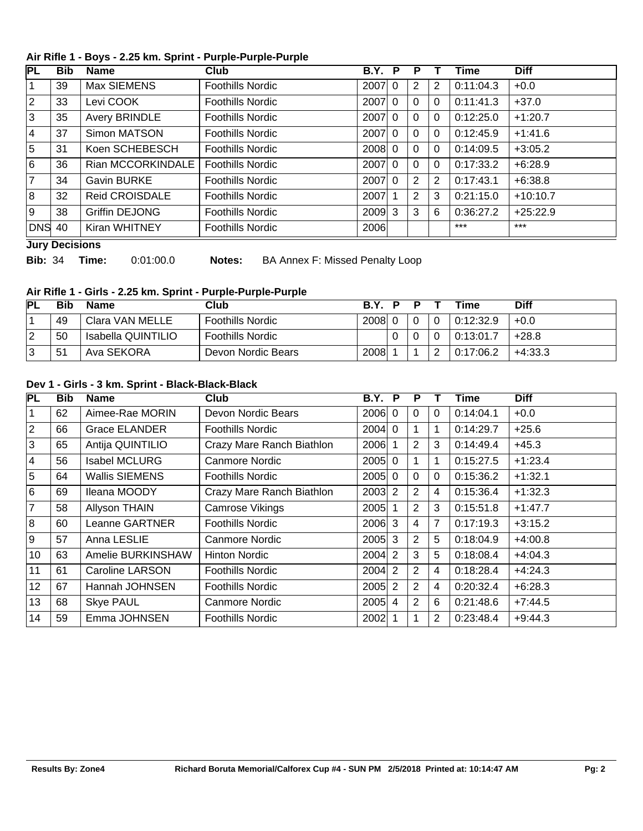#### **Air Rifle 1 - Boys - 2.25 km. Sprint - Purple-Purple-Purple**

| PL             | Bib | <b>Name</b>           | Club                    | <b>B.Y.</b> | P | Р |              | Time      | <b>Diff</b> |
|----------------|-----|-----------------------|-------------------------|-------------|---|---|--------------|-----------|-------------|
|                | 39  | Max SIEMENS           | Foothills Nordic        | 2007 0      |   | 2 | 2            | 0:11:04.3 | $+0.0$      |
| 2              | 33  | Levi COOK             | Foothills Nordic        | 2007 0      |   | 0 | $\Omega$     | 0:11:41.3 | $+37.0$     |
| 3              | 35  | <b>Avery BRINDLE</b>  | Foothills Nordic        | 2007 0      |   | 0 | $\mathbf{0}$ | 0:12:25.0 | $+1:20.7$   |
| 4              | 37  | Simon MATSON          | <b>Foothills Nordic</b> | 2007 0      |   | 0 | $\Omega$     | 0:12:45.9 | $+1:41.6$   |
| 5              | 31  | Koen SCHEBESCH        | <b>Foothills Nordic</b> | $2008$ 0    |   | 0 | $\mathbf{0}$ | 0:14:09.5 | $+3:05.2$   |
| 6              | 36  | Rian MCCORKINDALE     | <b>Foothills Nordic</b> | $2007$ 0    |   | 0 | 0            | 0:17:33.2 | $+6:28.9$   |
| $\overline{7}$ | 34  | <b>Gavin BURKE</b>    | <b>Foothills Nordic</b> | 2007 0      |   | 2 | 2            | 0:17:43.1 | $+6:38.8$   |
| 8              | 32  | <b>Reid CROISDALE</b> | <b>Foothills Nordic</b> | 2007        |   | 2 | 3            | 0:21:15.0 | $+10:10.7$  |
| 9              | 38  | <b>Griffin DEJONG</b> | <b>Foothills Nordic</b> | $2009$ 3    |   | 3 | 6            | 0:36:27.2 | $+25:22.9$  |
| <b>DNS</b> 40  |     | Kiran WHITNEY         | <b>Foothills Nordic</b> | 2006        |   |   |              | $***$     | $***$       |

#### **Jury Decisions**

**Bib:** 34 **Time:** 0:01:00.0 **Notes:** BA Annex F: Missed Penalty Loop

## **Air Rifle 1 - Girls - 2.25 km. Sprint - Purple-Purple-Purple**

| PL | Bib | Name               | Club                    | R Y L  | D | D |              | Time      | <b>Diff</b> |
|----|-----|--------------------|-------------------------|--------|---|---|--------------|-----------|-------------|
|    | 49  | Clara VAN MELLE    | <b>Foothills Nordic</b> | 2008 0 |   |   | $\mathbf{0}$ | 0:12:32.9 | $+0.0$      |
| 12 | 50  | Isabella QUINTILIO | <b>Foothills Nordic</b> |        |   |   |              | 0:13:01.7 | $+28.8$     |
| 3  | 51  | Ava SEKORA         | Devon Nordic Bears      | 2008   |   |   | ົ            | 0:17:06.2 | $+4:33.3$   |

#### **Dev 1 - Girls - 3 km. Sprint - Black-Black-Black**

| <b>PL</b>      | <b>Bib</b> | <b>Name</b>           | Club                      | <b>B.Y. P</b> | P              |                | Time      | <b>Diff</b> |
|----------------|------------|-----------------------|---------------------------|---------------|----------------|----------------|-----------|-------------|
| 1              | 62         | Aimee-Rae MORIN       | Devon Nordic Bears        | $2006$ 0      | 0              | $\Omega$       | 0:14:04.1 | $+0.0$      |
| 2              | 66         | <b>Grace ELANDER</b>  | <b>Foothills Nordic</b>   | $2004$ 0      |                | 1              | 0:14:29.7 | $+25.6$     |
| 3              | 65         | Antija QUINTILIO      | Crazy Mare Ranch Biathlon | 2006          | $\overline{2}$ | 3              | 0:14:49.4 | $+45.3$     |
| 4              | 56         | <b>Isabel MCLURG</b>  | Canmore Nordic            | $2005$ 0      |                | $\mathbf 1$    | 0:15:27.5 | $+1:23.4$   |
| 5              | 64         | <b>Wallis SIEMENS</b> | <b>Foothills Nordic</b>   | $2005$ 0      | $\overline{0}$ | $\Omega$       | 0:15:36.2 | $+1:32.1$   |
| 6              | 69         | Ileana MOODY          | Crazy Mare Ranch Biathlon | $2003$ 2      | 2              | 4              | 0:15:36.4 | $+1:32.3$   |
| $\overline{7}$ | 58         | <b>Allyson THAIN</b>  | Camrose Vikings           | 2005          | 2              | 3              | 0:15:51.8 | $+1:47.7$   |
| 8              | 60         | Leanne GARTNER        | <b>Foothills Nordic</b>   | $2006$ 3      | $\overline{4}$ | $\overline{7}$ | 0:17:19.3 | $+3:15.2$   |
| l 9            | 57         | Anna LESLIE           | Canmore Nordic            | $2005$ 3      | $\overline{2}$ | 5              | 0:18:04.9 | $+4:00.8$   |
| 10             | 63         | Amelie BURKINSHAW     | <b>Hinton Nordic</b>      | $2004$ 2      | 3              | 5              | 0:18:08.4 | $+4:04.3$   |
| 11             | 61         | Caroline LARSON       | <b>Foothills Nordic</b>   | $2004$ 2      | 2              | $\overline{4}$ | 0:18:28.4 | $+4:24.3$   |
| 12             | 67         | Hannah JOHNSEN        | <b>Foothills Nordic</b>   | $2005$ 2      | $\overline{2}$ | $\overline{4}$ | 0:20:32.4 | $+6:28.3$   |
| 13             | 68         | <b>Skye PAUL</b>      | Canmore Nordic            | $2005$ 4      | 2              | 6              | 0:21:48.6 | $+7:44.5$   |
| 14             | 59         | Emma JOHNSEN          | <b>Foothills Nordic</b>   | 2002          | 1              | $\overline{2}$ | 0:23:48.4 | $+9:44.3$   |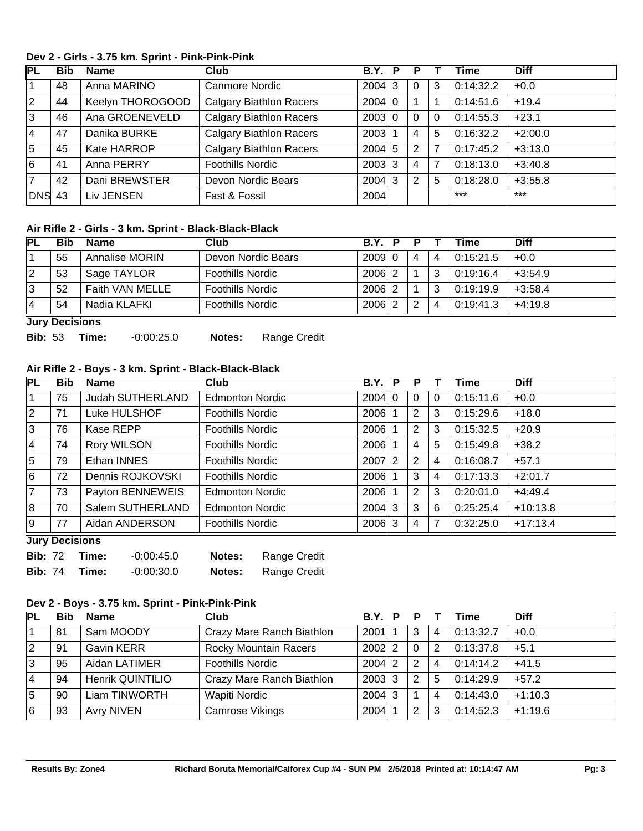## **Dev 2 - Girls - 3.75 km. Sprint - Pink-Pink-Pink**

| PL             | <b>Bib</b> | <b>Name</b>      | Club                           | B.Y. P   |          |              | Time      | <b>Diff</b> |
|----------------|------------|------------------|--------------------------------|----------|----------|--------------|-----------|-------------|
|                | 48         | Anna MARINO      | Canmore Nordic                 | $2004$ 3 |          | 3            | 0:14:32.2 | $+0.0$      |
| $ 2\rangle$    | 44         | Keelyn THOROGOOD | <b>Calgary Biathlon Racers</b> | $2004$ 0 |          |              | 0:14:51.6 | $+19.4$     |
| 3              | 46         | Ana GROENEVELD   | <b>Calgary Biathlon Racers</b> | 2003 0   | $\Omega$ | $\mathbf{0}$ | 0:14:55.3 | $+23.1$     |
| 14             | 47         | Danika BURKE     | <b>Calgary Biathlon Racers</b> | 2003     | 4        | 5            | 0:16:32.2 | $+2:00.0$   |
| 5              | 45         | Kate HARROP      | <b>Calgary Biathlon Racers</b> | $2004$ 5 | 2        | 7            | 0:17:45.2 | $+3:13.0$   |
| 6              | 41         | Anna PERRY       | <b>Foothills Nordic</b>        | $2003$ 3 | 4        | 7            | 0:18:13.0 | $+3:40.8$   |
| $\overline{7}$ | 42         | Dani BREWSTER    | Devon Nordic Bears             | $2004$ 3 | 2        | 5            | 0:18:28.0 | $+3:55.8$   |
| <b>DNS 43</b>  |            | Liv JENSEN       | Fast & Fossil                  | 2004     |          |              | $***$     | $***$       |

## **Air Rifle 2 - Girls - 3 km. Sprint - Black-Black-Black**

| <b>IPL</b> | <b>Bib</b> | <b>Name</b>     | Club                    | BY P     | D |   | Time      | <b>Diff</b> |
|------------|------------|-----------------|-------------------------|----------|---|---|-----------|-------------|
|            | 55         | Annalise MORIN  | Devon Nordic Bears      | $2009$ 0 | 4 | 4 | 0:15:21.5 | $+0.0$      |
| 2          | 53         | Sage TAYLOR     | <b>Foothills Nordic</b> | 2006     |   | 3 | 0:19:16.4 | $+3:54.9$   |
| 3          | 52         | Faith VAN MELLE | <b>Foothills Nordic</b> | 2006     |   | 3 | 0:19:19.9 | $+3:58.4$   |
|            | 54         | Nadia KLAFKI    | <b>Foothills Nordic</b> | 2006     | 2 | 4 | 0:19:41.3 | $+4:19.8$   |

**Jury Decisions**

| <b>Bib:</b> 53 Time: |  | -0:00:25.0 | Notes: | <b>Range Credit</b> |
|----------------------|--|------------|--------|---------------------|
|----------------------|--|------------|--------|---------------------|

# **Air Rifle 2 - Boys - 3 km. Sprint - Black-Black-Black**

| PL             | <b>Bib</b>            | <b>Name</b>      | <b>Club</b>             | B.Y.           | P | Р              |             | Time      | <b>Diff</b> |
|----------------|-----------------------|------------------|-------------------------|----------------|---|----------------|-------------|-----------|-------------|
|                | 75                    | Judah SUTHERLAND | <b>Edmonton Nordic</b>  | $2004$ 0       |   | $\Omega$       | $\mathbf 0$ | 0:15:11.6 | $+0.0$      |
| $\overline{2}$ | 71                    | Luke HULSHOF     | <b>Foothills Nordic</b> | 2006           |   | 2              | 3           | 0:15:29.6 | $+18.0$     |
| 3              | 76                    | Kase REPP        | <b>Foothills Nordic</b> | 2006           |   | $\overline{2}$ | 3           | 0:15:32.5 | $+20.9$     |
| 4              | 74                    | Rory WILSON      | <b>Foothills Nordic</b> | 2006           |   | 4              | 5           | 0:15:49.8 | $+38.2$     |
| 5              | 79                    | Ethan INNES      | <b>Foothills Nordic</b> | 2007 2         |   | 2              | 4           | 0:16:08.7 | $+57.1$     |
| 6              | 72                    | Dennis ROJKOVSKI | <b>Foothills Nordic</b> | 2006           |   | 3              | 4           | 0:17:13.3 | $+2:01.7$   |
| $\overline{7}$ | 73                    | Payton BENNEWEIS | <b>Edmonton Nordic</b>  | 2006           |   | $\overline{2}$ | 3           | 0:20:01.0 | $+4:49.4$   |
| 8              | 70                    | Salem SUTHERLAND | <b>Edmonton Nordic</b>  | $2004 \vert 3$ |   | 3              | 6           | 0:25:25.4 | $+10:13.8$  |
| 9              | 77                    | Aidan ANDERSON   | <b>Foothills Nordic</b> | $2006$ 3       |   | 4              | 7           | 0:32:25.0 | $+17:13.4$  |
|                | <b>Luny Depinions</b> |                  |                         |                |   |                |             |           |             |

**Jury Decisions**

| <b>Bib: 72</b> | Time: | -0:00:45.0   | Notes: | Range Credit |
|----------------|-------|--------------|--------|--------------|
| <b>Bib: 74</b> | Time: | $-0.00:30.0$ | Notes: | Range Credit |

# **Dev 2 - Boys - 3.75 km. Sprint - Pink-Pink-Pink**

| <b>PL</b>   | <b>Bib</b> | <b>Name</b>       | Club                         | B.Y. P   | P |                | Time      | <b>Diff</b> |
|-------------|------------|-------------------|------------------------------|----------|---|----------------|-----------|-------------|
|             | 81         | Sam MOODY         | Crazy Mare Ranch Biathlon    | 2001     | 3 | $\overline{4}$ | 0:13:32.7 | $+0.0$      |
| $ 2\rangle$ | 91         | <b>Gavin KERR</b> | <b>Rocky Mountain Racers</b> | $2002$ 2 | 0 | $\overline{2}$ | 0:13:37.8 | $+5.1$      |
| 3           | 95         | Aidan LATIMER     | <b>Foothills Nordic</b>      | 2004 2   | 2 | $\overline{4}$ | 0:14:14.2 | $+41.5$     |
| 14          | 94         | Henrik QUINTILIO  | Crazy Mare Ranch Biathlon    | $2003$ 3 | 2 | 5              | 0:14:29.9 | $+57.2$     |
| 5           | 90         | Liam TINWORTH     | Wapiti Nordic                | $2004$ 3 |   | 4              | 0:14:43.0 | $+1:10.3$   |
| 16          | 93         | <b>Avry NIVEN</b> | Camrose Vikings              | 2004     | 2 | 3              | 0:14:52.3 | $+1:19.6$   |